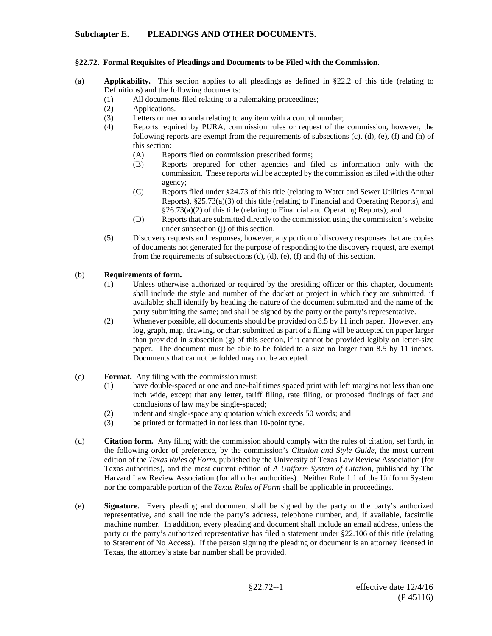# **Subchapter E. PLEADINGS AND OTHER DOCUMENTS.**

#### **§22.72. Formal Requisites of Pleadings and Documents to be Filed with the Commission.**

- (a) **Applicability.** This section applies to all pleadings as defined in §22.2 of this title (relating to Definitions) and the following documents:
	- (1) All documents filed relating to a rulemaking proceedings;
	- (2) Applications.
	- (3) Letters or memoranda relating to any item with a control number;
	- (4) Reports required by PURA, commission rules or request of the commission, however, the following reports are exempt from the requirements of subsections (c), (d), (e), (f) and (h) of this section:
		- (A) Reports filed on commission prescribed forms;
		- (B) Reports prepared for other agencies and filed as information only with the commission. These reports will be accepted by the commission as filed with the other agency;
		- (C) Reports filed under §24.73 of this title (relating to Water and Sewer Utilities Annual Reports), §25.73(a)(3) of this title (relating to Financial and Operating Reports), and §26.73(a)(2) of this title (relating to Financial and Operating Reports); and
		- (D) Reports that are submitted directly to the commission using the commission's website under subsection (j) of this section.
	- (5) Discovery requests and responses, however, any portion of discovery responses that are copies of documents not generated for the purpose of responding to the discovery request, are exempt from the requirements of subsections (c), (d), (e), (f) and (h) of this section.

#### (b) **Requirements of form.**

- (1) Unless otherwise authorized or required by the presiding officer or this chapter, documents shall include the style and number of the docket or project in which they are submitted, if available; shall identify by heading the nature of the document submitted and the name of the party submitting the same; and shall be signed by the party or the party's representative.
- (2) Whenever possible, all documents should be provided on 8.5 by 11 inch paper. However, any log, graph, map, drawing, or chart submitted as part of a filing will be accepted on paper larger than provided in subsection (g) of this section, if it cannot be provided legibly on letter-size paper. The document must be able to be folded to a size no larger than 8.5 by 11 inches. Documents that cannot be folded may not be accepted.
- (c) **Format.** Any filing with the commission must:
	- (1) have double-spaced or one and one-half times spaced print with left margins not less than one inch wide, except that any letter, tariff filing, rate filing, or proposed findings of fact and conclusions of law may be single-spaced;
	- (2) indent and single-space any quotation which exceeds 50 words; and
	- (3) be printed or formatted in not less than 10-point type.
- (d) **Citation form.** Any filing with the commission should comply with the rules of citation, set forth, in the following order of preference, by the commission's *Citation and Style Guide*, the most current edition of the *Texas Rules of Form*, published by the University of Texas Law Review Association (for Texas authorities), and the most current edition of *A Uniform System of Citation*, published by The Harvard Law Review Association (for all other authorities). Neither Rule 1.1 of the Uniform System nor the comparable portion of the *Texas Rules of Form* shall be applicable in proceedings.
- (e) **Signature.** Every pleading and document shall be signed by the party or the party's authorized representative, and shall include the party's address, telephone number, and, if available, facsimile machine number. In addition, every pleading and document shall include an email address, unless the party or the party's authorized representative has filed a statement under §22.106 of this title (relating to Statement of No Access). If the person signing the pleading or document is an attorney licensed in Texas, the attorney's state bar number shall be provided.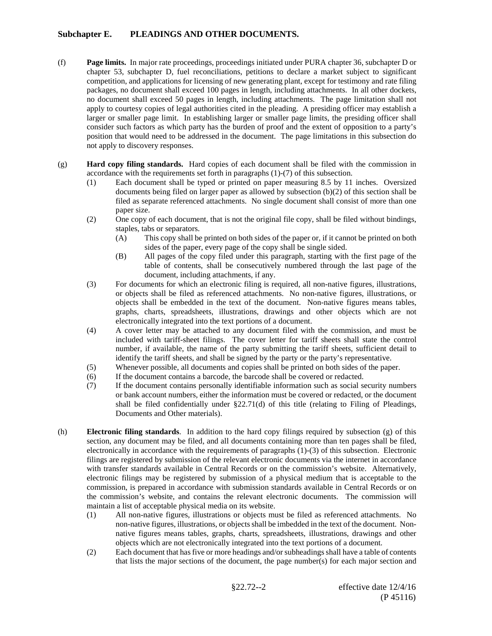# **Subchapter E. PLEADINGS AND OTHER DOCUMENTS.**

- (f) **Page limits.** In major rate proceedings, proceedings initiated under PURA chapter 36, subchapter D or chapter 53, subchapter D, fuel reconciliations, petitions to declare a market subject to significant competition, and applications for licensing of new generating plant, except for testimony and rate filing packages, no document shall exceed 100 pages in length, including attachments. In all other dockets, no document shall exceed 50 pages in length, including attachments. The page limitation shall not apply to courtesy copies of legal authorities cited in the pleading. A presiding officer may establish a larger or smaller page limit. In establishing larger or smaller page limits, the presiding officer shall consider such factors as which party has the burden of proof and the extent of opposition to a party's position that would need to be addressed in the document. The page limitations in this subsection do not apply to discovery responses.
- (g) **Hard copy filing standards.** Hard copies of each document shall be filed with the commission in accordance with the requirements set forth in paragraphs (1)-(7) of this subsection.
	- (1) Each document shall be typed or printed on paper measuring 8.5 by 11 inches. Oversized documents being filed on larger paper as allowed by subsection (b)(2) of this section shall be filed as separate referenced attachments. No single document shall consist of more than one paper size.
	- (2) One copy of each document, that is not the original file copy, shall be filed without bindings, staples, tabs or separators.
		- (A) This copy shall be printed on both sides of the paper or, if it cannot be printed on both sides of the paper, every page of the copy shall be single sided.
		- (B) All pages of the copy filed under this paragraph, starting with the first page of the table of contents, shall be consecutively numbered through the last page of the document, including attachments, if any.
	- (3) For documents for which an electronic filing is required, all non-native figures, illustrations, or objects shall be filed as referenced attachments. No non-native figures, illustrations, or objects shall be embedded in the text of the document. Non-native figures means tables, graphs, charts, spreadsheets, illustrations, drawings and other objects which are not electronically integrated into the text portions of a document.
	- (4) A cover letter may be attached to any document filed with the commission, and must be included with tariff-sheet filings. The cover letter for tariff sheets shall state the control number, if available, the name of the party submitting the tariff sheets, sufficient detail to identify the tariff sheets, and shall be signed by the party or the party's representative.
	- (5) Whenever possible, all documents and copies shall be printed on both sides of the paper.
	- (6) If the document contains a barcode, the barcode shall be covered or redacted.
	- (7) If the document contains personally identifiable information such as social security numbers or bank account numbers, either the information must be covered or redacted, or the document shall be filed confidentially under  $\S22.71(d)$  of this title (relating to Filing of Pleadings, Documents and Other materials).
- (h) **Electronic filing standards**. In addition to the hard copy filings required by subsection (g) of this section, any document may be filed, and all documents containing more than ten pages shall be filed, electronically in accordance with the requirements of paragraphs (1)-(3) of this subsection. Electronic filings are registered by submission of the relevant electronic documents via the internet in accordance with transfer standards available in Central Records or on the commission's website. Alternatively, electronic filings may be registered by submission of a physical medium that is acceptable to the commission, is prepared in accordance with submission standards available in Central Records or on the commission's website, and contains the relevant electronic documents. The commission will maintain a list of acceptable physical media on its website.
	- (1) All non-native figures, illustrations or objects must be filed as referenced attachments. No non-native figures, illustrations, or objects shall be imbedded in the text of the document. Nonnative figures means tables, graphs, charts, spreadsheets, illustrations, drawings and other objects which are not electronically integrated into the text portions of a document.
	- (2) Each document that has five or more headings and/or subheadings shall have a table of contents that lists the major sections of the document, the page number(s) for each major section and